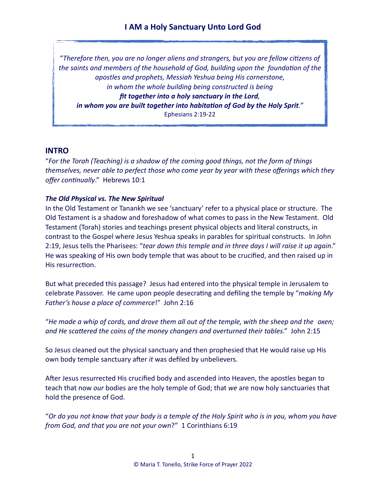"*Therefore then, you are no longer aliens and strangers, but you are fellow citizens of the saints and members of the household of God, building upon the foundation of the apostles and prophets, Messiah Yeshua being His cornerstone, in whom the whole building being constructed is being fit together into a holy sanctuary in the Lord, in whom you are built together into habitation of God by the Holy Sprit."* Ephesians 2:19-22

## **INTRO**

"*For the Torah (Teaching) is a shadow of the coming good things, not the form of things themselves, never able to perfect those who come year by year with these offerings which they offer continually*." Hebrews 10:1

## *The Old Physical vs. The New Spiritual*

In the Old Testament or Tanankh we see 'sanctuary' refer to a physical place or structure. The Old Testament is a shadow and foreshadow of what comes to pass in the New Testament. Old Testament (Torah) stories and teachings present physical objects and literal constructs, in contrast to the Gospel where Jesus Yeshua speaks in parables for spiritual constructs. In John 2:19, Jesus tells the Pharisees: "*tear down this temple and in three days I will raise it up again*." He was speaking of His own body temple that was about to be crucified, and then raised up in His resurrection.

But what preceded this passage? Jesus had entered into the physical temple in Jerusalem to celebrate Passover. He came upon people desecrating and defiling the temple by "*making My Father's house a place of commerce*!" John 2:16

"*He made a whip of cords, and drove them all out of the temple, with the sheep and the oxen; and He scattered the coins of the money changers and overturned their tables*." John 2:15

So Jesus cleaned out the physical sanctuary and then prophesied that He would raise up His own body temple sanctuary after *it* was defiled by unbelievers.

After Jesus resurrected His crucified body and ascended into Heaven, the apostles began to teach that now *our* bodies are the holy temple of God; that *we* are now holy sanctuaries that hold the presence of God.

"*Or do you not know that your body is a temple of the Holy Spirit who is in you, whom you have from God, and that you are not your own*?" 1 Corinthians 6:19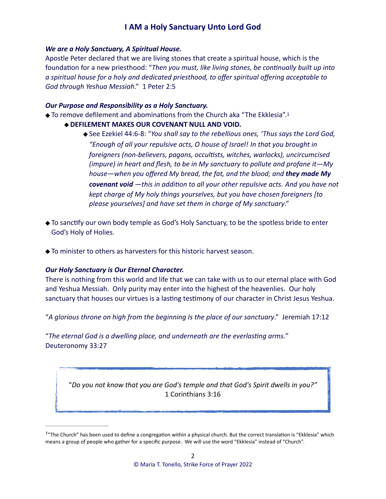#### *We are a Holy Sanctuary, A Spiritual House.*

Apostle Peter declared that we are living stones that create a spiritual house, which is the foundation for a new priesthood: "*Then you must, like living stones, be continually built up into a spiritual house for a holy and dedicated priesthood, to offer spiritual offering acceptable to God through Yeshua Messiah*." 1 Peter 2:5

#### *Our Purpose and Responsibility as a Holy Sanctuary.*

- <span id="page-1-1"></span>◆ To remove defilement and abominations from the Church aka "The Ekklesia".<sup>1</sup>
	- **DEFILEMENT MAKES OUR COVENANT NULL AND VOID.** 
		- See Ezekiel 44:6-8: "*You shall say to the rebellious ones, 'Thus says the Lord God, "Enough of all your repulsive acts, O house of Israel! In that you brought in foreigners (non-believers, pagans, occultists, witches, warlocks), uncircumcised (impure) in heart and flesh, to be in My sanctuary to pollute and profane it—My house—when you offered My bread, the fat, and the blood; and they made My covenant void —this in addition to all your other repulsive acts. And you have not kept charge of My holy things yourselves, but you have chosen foreigners [to please yourselves] and have set them in charge of My sanctuary*."
- To sanctify our own body temple as God's Holy Sanctuary, to be the spotless bride to enter God's Holy of Holies.
- To minister to others as harvesters for this historic harvest season.

#### *Our Holy Sanctuary is Our Eternal Character.*

There is nothing from this world and life that we can take with us to our eternal place with God and Yeshua Messiah. Only purity may enter into the highest of the heavenlies. Our holy sanctuary that houses our virtues is a lasting testimony of our character in Christ Jesus Yeshua.

"*A glorious throne on high from the beginning Is the place of our sanctuary*." Jeremiah 17:12

"*The eternal God is a dwelling place, and underneath are the everlasting arms.*" Deuteronomy 33:27

"*Do you not know that you are God's temple and that God's Spirit dwells in you?"* 1 Corinthians 3:16

<span id="page-1-0"></span><sup>&</sup>lt;sup>[1](#page-1-1)</sup>"The Church" has been used to define a congregation within a physical church. But the correct translation is "Ekklesia" which means a group of people who gather for a specific purpose. We will use the word "Ekklesia" instead of "Church".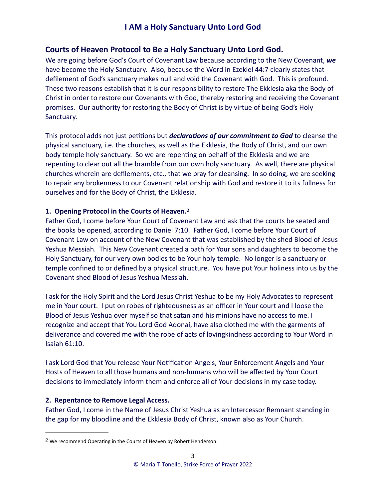## **Courts of Heaven Protocol to Be a Holy Sanctuary Unto Lord God.**

We are going before God's Court of Covenant Law because according to the New Covenant, *we* have become the Holy Sanctuary. Also, because the Word in Ezekiel 44:7 clearly states that defilement of God's sanctuary makes null and void the Covenant with God. This is profound. These two reasons establish that it is our responsibility to restore The Ekklesia aka the Body of Christ in order to restore our Covenants with God, thereby restoring and receiving the Covenant promises. Our authority for restoring the Body of Christ is by virtue of being God's Holy Sanctuary.

This protocol adds not just petitions but *declarations of our commitment to God* to cleanse the physical sanctuary, i.e. the churches, as well as the Ekklesia, the Body of Christ, and our own body temple holy sanctuary. So we are repenting on behalf of the Ekklesia and we are repenting to clear out all the bramble from our own holy sanctuary. As well, there are physical churches wherein are defilements, etc., that we pray for cleansing. In so doing, we are seeking to repair any brokenness to our Covenant relationship with God and restore it to its fullness for ourselves and for the Body of Christ, the Ekklesia.

## <span id="page-2-1"></span>**1. Opening Protocol in the Courts of Heaven. [2](#page-2-0)**

Father God, I come before Your Court of Covenant Law and ask that the courts be seated and the books be opened, according to Daniel 7:10. Father God, I come before Your Court of Covenant Law on account of the New Covenant that was established by the shed Blood of Jesus Yeshua Messiah. This New Covenant created a path for Your sons and daughters to become the Holy Sanctuary, for our very own bodies to be Your holy temple. No longer is a sanctuary or temple confined to or defined by a physical structure. You have put Your holiness into us by the Covenant shed Blood of Jesus Yeshua Messiah.

I ask for the Holy Spirit and the Lord Jesus Christ Yeshua to be my Holy Advocates to represent me in Your court. I put on robes of righteousness as an officer in Your court and I loose the Blood of Jesus Yeshua over myself so that satan and his minions have no access to me. I recognize and accept that You Lord God Adonai, have also clothed me with the garments of deliverance and covered me with the robe of acts of lovingkindness according to Your Word in Isaiah 61:10.

I ask Lord God that You release Your Notification Angels, Your Enforcement Angels and Your Hosts of Heaven to all those humans and non-humans who will be affected by Your Court decisions to immediately inform them and enforce all of Your decisions in my case today.

#### **2. Repentance to Remove Legal Access.**

Father God, I come in the Name of Jesus Christ Yeshua as an Intercessor Remnant standing in the gap for my bloodline and the Ekklesia Body of Christ, known also as Your Church.

<span id="page-2-0"></span><sup>&</sup>lt;sup>[2](#page-2-1)</sup> We recommend Operating in the Courts of Heaven by Robert Henderson.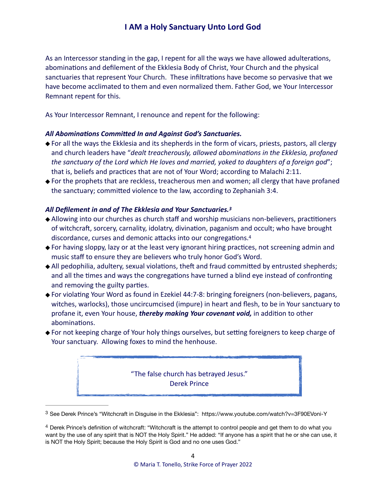As an Intercessor standing in the gap, I repent for all the ways we have allowed adulterations, abominations and defilement of the Ekklesia Body of Christ, Your Church and the physical sanctuaries that represent Your Church. These infiltrations have become so pervasive that we have become acclimated to them and even normalized them. Father God, we Your Intercessor Remnant repent for this.

As Your Intercessor Remnant, I renounce and repent for the following:

## *All Abominations Committed In and Against God's Sanctuaries.*

- For all the ways the Ekklesia and its shepherds in the form of vicars, priests, pastors, all clergy and church leaders have "*dealt treacherously, allowed abominations in the Ekklesia, profaned the sanctuary of the Lord which He loves and married, yoked to daughters of a foreign god*"; that is, beliefs and practices that are not of Your Word; according to Malachi 2:11.
- For the prophets that are reckless, treacherous men and women; all clergy that have profaned the sanctuary; committed violence to the law, according to Zephaniah 3:4.

## <span id="page-3-2"></span>*All Defilement in and of The Ekklesia and Your Sanctuaries[.3](#page-3-0)*

- Allowing into our churches as church staff and worship musicians non-believers, practitioners of witchcraft, sorcery, carnality, idolatry, divination, paganism and occult; who have brought discordance, curses and demonic attacks into our congregations.[4](#page-3-1)
- For having sloppy, lazy or at the least very ignorant hiring practices, not screening admin and music staff to ensure they are believers who truly honor God's Word.
- All pedophilia, adultery, sexual violations, theft and fraud committed by entrusted shepherds; and all the times and ways the congregations have turned a blind eye instead of confronting and removing the guilty parties.
- For violating Your Word as found in Ezekiel 44:7-8: bringing foreigners (non-believers, pagans, witches, warlocks), those uncircumcised (impure) in heart and flesh, to be in Your sanctuary to profane it, even Your house, *thereby making Your covenant void,* in addition to other abominations.
- For not keeping charge of Your holy things ourselves, but setting foreigners to keep charge of Your sanctuary. Allowing foxes to mind the henhouse.

<span id="page-3-3"></span>"The false church has betrayed Jesus." Derek Prince

<span id="page-3-0"></span>[<sup>3</sup>](#page-3-2) See Derek Prince's "Witchcraft in Disguise in the Ekklesia": https://www.youtube.com/watch?v=3F90EVoni-Y

<span id="page-3-1"></span>Derek Prince's definition of witchcraft: "Witchcraft is the attempt to control people and get them to do what you [4](#page-3-3) want by the use of any spirit that is NOT the Holy Spirit." He added: "If anyone has a spirit that he or she can use, it is NOT the Holy Spirit; because the Holy Spirit is God and no one uses God."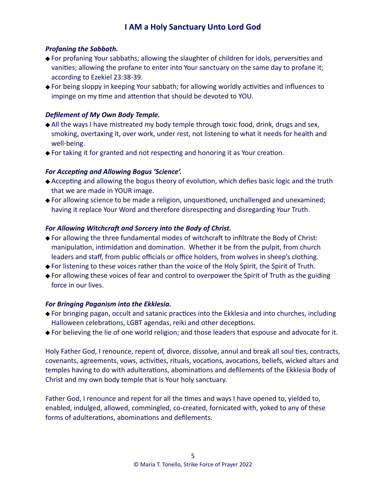## *Profaning the Sabbath.*

- For profaning Your sabbaths; allowing the slaughter of children for idols, perversities and vanities; allowing the profane to enter into Your sanctuary on the same day to profane it; according to Ezekiel 23:38-39.
- For being sloppy in keeping Your sabbath; for allowing worldly activities and influences to impinge on my time and attention that should be devoted to YOU.

## *Defilement of My Own Body Temple.*

- All the ways I have mistreated my body temple through toxic food, drink, drugs and sex, smoking, overtaxing it, over work, under rest, not listening to what it needs for health and well-being.
- For taking it for granted and not respecting and honoring it as Your creation.

## *For Accepting and Allowing Bogus 'Science'.*

- Accepting and allowing the bogus theory of evolution, which defies basic logic and the truth that we are made in YOUR image.
- For allowing science to be made a religion, unquestioned, unchallenged and unexamined; having it replace Your Word and therefore disrespecting and disregarding *Your* Truth.

#### *For Allowing Witchcraft and Sorcery into the Body of Christ.*

- For allowing the three fundamental modes of witchcraft to infiltrate the Body of Christ: manipulation, intimidation and domination. Whether it be from the pulpit, from church leaders and staff, from public officials or office holders, from wolves in sheep's clothing.
- For listening to these voices rather than the voice of the Holy Spirit, the Spirit of Truth.
- For allowing these voices of fear and control to overpower the Spirit of Truth as the guiding force in our lives.

#### *For Bringing Paganism into the Ekklesia.*

- For bringing pagan, occult and satanic practices into the Ekklesia and into churches, including Halloween celebrations, LGBT agendas, reiki and other deceptions.
- For believing the lie of one world religion; and those leaders that espouse and advocate for it.

Holy Father God, I renounce, repent of, divorce, dissolve, annul and break all soul ties, contracts, covenants, agreements, vows, activities, rituals, vocations, avocations, beliefs, wicked altars and temples having to do with adulterations, abominations and defilements of the Ekklesia Body of Christ and my own body temple that is Your holy sanctuary.

Father God, I renounce and repent for all the times and ways I have opened to, yielded to, enabled, indulged, allowed, commingled, co-created, fornicated with, yoked to any of these forms of adulterations, abominations and defilements.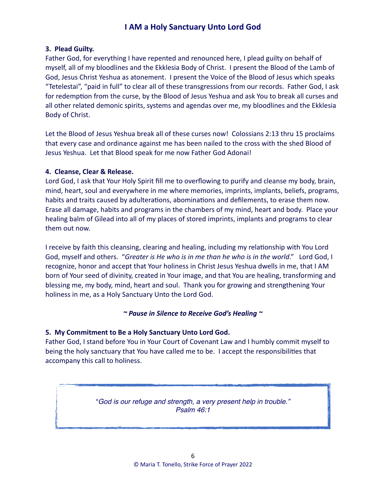## **3. Plead Guilty.**

Father God, for everything I have repented and renounced here, I plead guilty on behalf of myself, all of my bloodlines and the Ekklesia Body of Christ. I present the Blood of the Lamb of God, Jesus Christ Yeshua as atonement. I present the Voice of the Blood of Jesus which speaks "Tetelestai", "paid in full" to clear all of these transgressions from our records. Father God, I ask for redemption from the curse, by the Blood of Jesus Yeshua and ask You to break all curses and all other related demonic spirits, systems and agendas over me, my bloodlines and the Ekklesia Body of Christ.

Let the Blood of Jesus Yeshua break all of these curses now! Colossians 2:13 thru 15 proclaims that every case and ordinance against me has been nailed to the cross with the shed Blood of Jesus Yeshua. Let that Blood speak for me now Father God Adonai!

## **4. Cleanse, Clear & Release.**

Lord God, I ask that Your Holy Spirit fill me to overflowing to purify and cleanse my body, brain, mind, heart, soul and everywhere in me where memories, imprints, implants, beliefs, programs, habits and traits caused by adulterations, abominations and defilements, to erase them now. Erase all damage, habits and programs in the chambers of my mind, heart and body. Place your healing balm of Gilead into all of my places of stored imprints, implants and programs to clear them out now.

I receive by faith this cleansing, clearing and healing, including my relationship with You Lord God, myself and others. "*Greater is He who is in me than he who is in the world*." Lord God, I recognize, honor and accept that Your holiness in Christ Jesus Yeshua dwells in me, that I AM born of Your seed of divinity, created in Your image, and that You are healing, transforming and blessing me, my body, mind, heart and soul. Thank you for growing and strengthening Your holiness in me, as a Holy Sanctuary Unto the Lord God.

#### *~ Pause in Silence to Receive God's Healing ~*

## **5. My Commitment to Be a Holy Sanctuary Unto Lord God.**

Father God, I stand before You in Your Court of Covenant Law and I humbly commit myself to being the holy sanctuary that You have called me to be. I accept the responsibilities that accompany this call to holiness.

> "*God is our refuge and strength, a very present help in trouble." Psalm 46:1*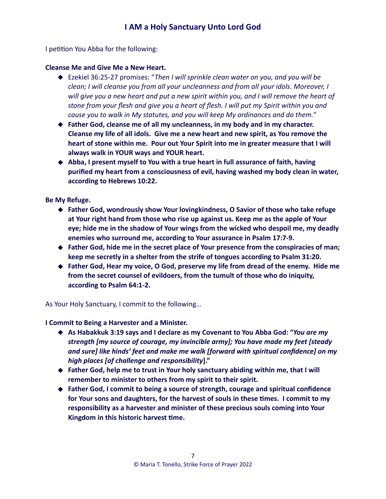I petition You Abba for the following:

## **Cleanse Me and Give Me a New Heart.**

- ◆ Ezekiel 36:25-27 promises: "*Then I will sprinkle clean water on you, and you will be clean; I will cleanse you from all your uncleanness and from all your idols. Moreover, I will give you a new heart and put a new spirit within you, and I will remove the heart of stone from your flesh and give you a heart of flesh. I will put my Spirit within you and cause you to walk in My statutes, and you will keep My ordinances and do them.*"
- ◆ **Father God, cleanse me of all my uncleanness, in my body and in my character. Cleanse my life of all idols. Give me a new heart and new spirit, as You remove the heart of stone within me. Pour out Your Spirit into me in greater measure that I will always walk in YOUR ways and YOUR heart.**
- ◆ Abba, I present myself to You with a true heart in full assurance of faith, having **purified my heart from a consciousness of evil, having washed my body clean in water, according to Hebrews 10:22.**

**Be My Refuge.**

- ◆ **Father God, wondrously show Your lovingkindness, O Savior of those who take refuge at Your right hand from those who rise up against us. Keep me as the apple of Your eye; hide me in the shadow of Your wings from the wicked who despoil me, my deadly enemies who surround me, according to Your assurance in Psalm 17:7-9.**
- ◆ **Father God, hide me in the secret place of Your presence from the conspiracies of man; keep me secretly in a shelter from the strife of tongues according to Psalm 31:20.**
- ◆ Father God, Hear my voice, O God, preserve my life from dread of the enemy. Hide me **from the secret counsel of evildoers, from the tumult of those who do iniquity, according to Psalm 64:1-2.**

As Your Holy Sanctuary, I commit to the following…

**I Commit to Being a Harvester and a Minister.**

- ◆ As Habakkuk 3:19 says and I declare as my Covenant to You Abba God: "*You are my strength [my source of courage, my invincible army]; You have made my feet [steady and sure] like hinds' feet and make me walk [forward with spiritual confidence] on my high places [of challenge and responsibility***]."**
- ◆ **Father God, help me to trust in Your holy sanctuary abiding within me, that I will remember to minister to others from my spirit to their spirit.**
- ◆ **Father God, I commit to being a source of strength, courage and spiritual confidence for Your sons and daughters, for the harvest of souls in these times. I commit to my responsibility as a harvester and minister of these precious souls coming into Your Kingdom in this historic harvest time.**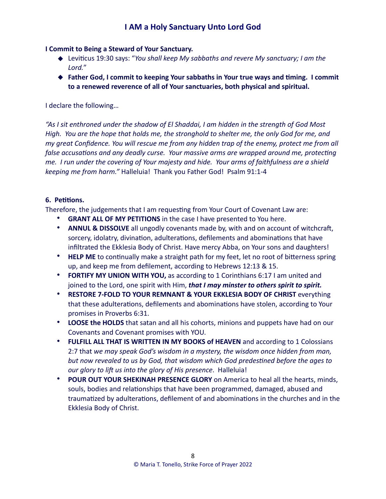## **I Commit to Being a Steward of Your Sanctuary.**

- ◆ Leviticus 19:30 says: "*You shall keep My sabbaths and revere My sanctuary; I am the Lord.*"
- ◆ **Father God, I commit to keeping Your sabbaths in Your true ways and timing. I commit to a renewed reverence of all of Your sanctuaries, both physical and spiritual.**

## I declare the following…

*"As I sit enthroned under the shadow of El Shaddai, I am hidden in the strength of God Most High. You are the hope that holds me, the stronghold to shelter me, the only God for me, and my great Confidence. You will rescue me from any hidden trap of the enemy, protect me from all false accusations and any deadly curse. Your massive arms are wrapped around me, protecting me. I run under the covering of Your majesty and hide. Your arms of faithfulness are a shield keeping me from harm."* Halleluia! Thank you Father God! Psalm 91:1-4

## **6. Petitions.**

Therefore, the judgements that I am requesting from Your Court of Covenant Law are:

- **GRANT ALL OF MY PETITIONS** in the case I have presented to You here.
- **ANNUL & DISSOLVE** all ungodly covenants made by, with and on account of witchcraft, sorcery, idolatry, divination, adulterations, defilements and abominations that have infiltrated the Ekklesia Body of Christ. Have mercy Abba, on Your sons and daughters!
- **HELP ME** to continually make a straight path for my feet, let no root of bitterness spring up, and keep me from defilement, according to Hebrews 12:13 & 15.
- **FORTIFY MY UNION WITH YOU,** as according to 1 Corinthians 6:17 I am united and joined to the Lord, one spirit with Him, *that I may minster to others spirit to spirit.*
- **RESTORE 7-FOLD TO YOUR REMNANT & YOUR EKKLESIA BODY OF CHRIST everything** that these adulterations, defilements and abominations have stolen, according to Your promises in Proverbs 6:31.
- **LOOSE the HOLDS** that satan and all his cohorts, minions and puppets have had on our Covenants and Covenant promises with YOU.
- **FULFILL ALL THAT IS WRITTEN IN MY BOOKS of HEAVEN** and according to 1 Colossians 2:7 that *we may speak God's wisdom in a mystery, the wisdom once hidden from man, but now revealed to us by God, that wisdom which God predestined before the ages to our glory to lift us into the glory of His presence*. Halleluia!
- **POUR OUT YOUR SHEKINAH PRESENCE GLORY** on America to heal all the hearts, minds, souls, bodies and relationships that have been programmed, damaged, abused and traumatized by adulterations, defilement of and abominations in the churches and in the Ekklesia Body of Christ.